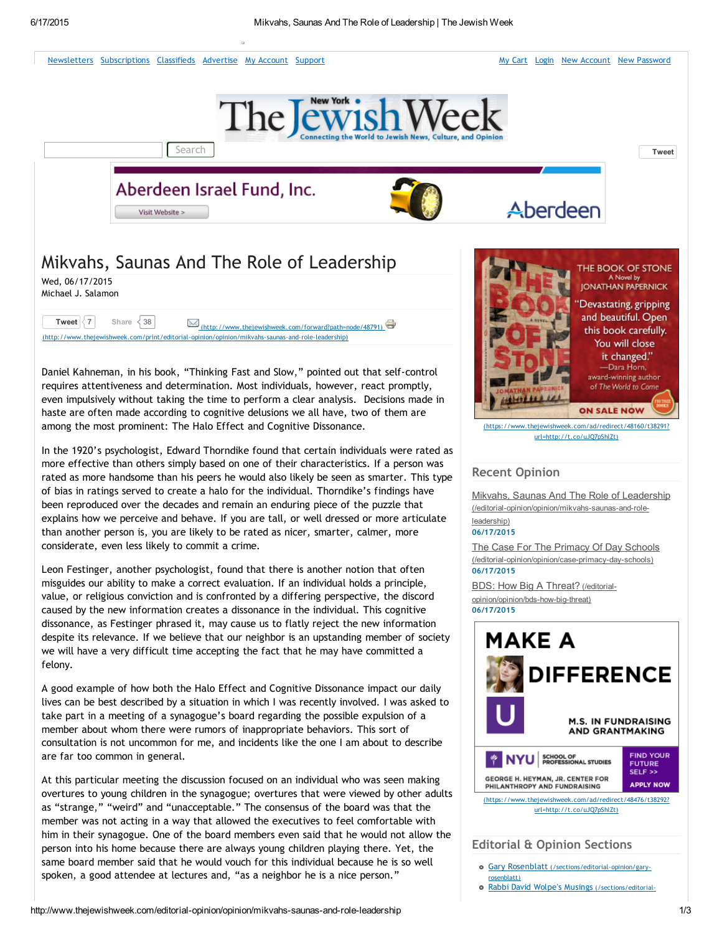

A good example of how both the Halo Effect and Cognitive Dissonance impact our daily lives can be best described by a situation in which I was recently involved. I was asked to take part in a meeting of a synagogue's board regarding the possible expulsion of a member about whom there were rumors of inappropriate behaviors. This sort of consultation is not uncommon for me, and incidents like the one I am about to describe are far too common in general.

At this particular meeting the discussion focused on an individual who was seen making overtures to young children in the synagogue; overtures that were viewed by other adults as "strange," "weird" and "unacceptable." The consensus of the board was that the member was not acting in a way that allowed the executives to feel comfortable with him in their synagogue. One of the board members even said that he would not allow the person into his home because there are always young children playing there. Yet, the same board member said that he would vouch for this individual because he is so well spoken, a good attendee at lectures and, "as a neighbor he is a nice person."



[\(https://www.thejewishweek.com/ad/redirect/48476/t38292?](https://www.thejewishweek.com/ad/redirect/48476/t38292?url=http://t.co/uJQ7pShlZt) url=http://t.co/uJQ7pShlZt)

# Editorial & Opinion Sections

- Gary Rosenblatt [\(/sections/editorial‐opinion/gary‐](http://www.thejewishweek.com/sections/editorial-opinion/gary-rosenblatt) rosenblatt)
- Rabbi David Wolpe's Musings [\(/sections/editorial‐](http://www.thejewishweek.com/sections/editorial-opinion/musings)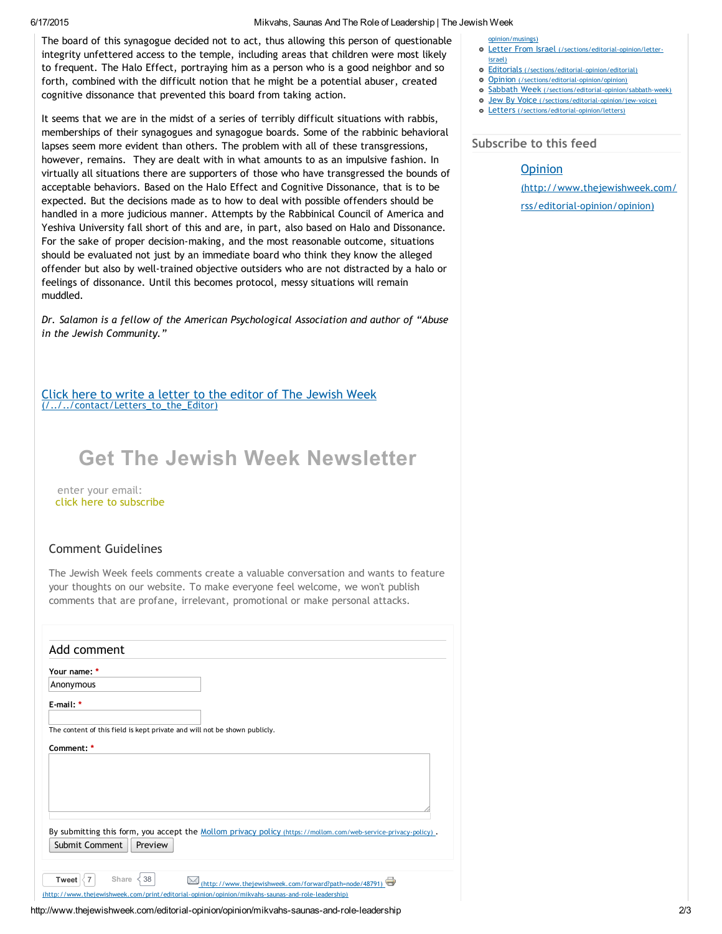#### 6/17/2015 Mikvahs, Saunas And The Role of Leadership | The Jewish Week

The board of this synagogue decided not to act, thus allowing this person of questionable integrity unfettered access to the temple, including areas that children were most likely to frequent. The Halo Effect, portraying him as a person who is a good neighbor and so forth, combined with the difficult notion that he might be a potential abuser, created cognitive dissonance that prevented this board from taking action.

It seems that we are in the midst of a series of terribly difficult situations with rabbis, memberships of their synagogues and synagogue boards. Some of the rabbinic behavioral lapses seem more evident than others. The problem with all of these transgressions, however, remains. They are dealt with in what amounts to as an impulsive fashion. In virtually all situations there are supporters of those who have transgressed the bounds of acceptable behaviors. Based on the Halo Effect and Cognitive Dissonance, that is to be expected. But the decisions made as to how to deal with possible offenders should be handled in a more judicious manner. Attempts by the Rabbinical Council of America and Yeshiva University fall short of this and are, in part, also based on Halo and Dissonance. For the sake of proper decision‐making, and the most reasonable outcome, situations should be evaluated not just by an immediate board who think they know the alleged offender but also by well‐trained objective outsiders who are not distracted by a halo or feelings of dissonance. Until this becomes protocol, messy situations will remain muddled.

*Dr. Salamon is a fellow of the American Psychological Association and author of "Abuse in the Jewish Community."*

Click here to write a letter to the editor of The Jewish Week [\(/../../contact/Letters\\_to\\_the\\_Editor\)](http://www.thejewishweek.com/contact/Letters_to_the_Editor)

# Get The Jewish Week Newsletter

enter your email: click here to subscribe

## Comment Guidelines

The Jewish Week feels comments create a valuable conversation and wants to feature your thoughts on our website. To make everyone feel welcome, we won't publish comments that are profane, irrelevant, promotional or make personal attacks.

| Add comment                                                                                                                                                                                          |
|------------------------------------------------------------------------------------------------------------------------------------------------------------------------------------------------------|
| Your name: *                                                                                                                                                                                         |
| Anonymous                                                                                                                                                                                            |
| E-mail: *                                                                                                                                                                                            |
| The content of this field is kept private and will not be shown publicly.                                                                                                                            |
| Comment: *                                                                                                                                                                                           |
|                                                                                                                                                                                                      |
| By submitting this form, you accept the Mollom privacy policy (https://mollom.com/web-service-privacy-policy).                                                                                       |
| Submit Comment<br>Preview                                                                                                                                                                            |
|                                                                                                                                                                                                      |
| Share<br>38<br>$\frac{1}{2}$<br>Tweet<br>(http://www.thejewishweek.com/forward?path=node/48791)<br>(http://www.thejewishweek.com/print/editorial-opinion/opinion/mikvahs-saunas-and-role-leadership) |
|                                                                                                                                                                                                      |

### http://www.thejewishweek.com/editorial-opinion/opinion/mikvahs-saunas-and-role-leadership 2/3

#### [opinion/musings\)](http://www.thejewishweek.com/sections/editorial-opinion/musings)

- o Letter From Israel (/sections/edit israel)
- Editorials [\(/sections/editorial‐opinion/editorial\)](http://www.thejewishweek.com/sections/editorial-opinion/editorial)
- Opinion [\(/sections/editorial‐opinion/opinion\)](http://www.thejewishweek.com/sections/editorial-opinion/opinion)
- Sabbath Week (/sections/editorial-opinion/sabbath-week)
- Jew By Voice [\(/sections/editorial‐opinion/jew‐voice\)](http://www.thejewishweek.com/sections/editorial-opinion/jew-voice)
- Letters [\(/sections/editorial‐opinion/letters\)](http://www.thejewishweek.com/sections/editorial-opinion/letters)

# Subscribe to this feed

# **Opinion**

[\(http://www.thejewishweek.com/](http://www.thejewishweek.com/rss/editorial-opinion/opinion)

rss/editorial‐opinion/opinion)